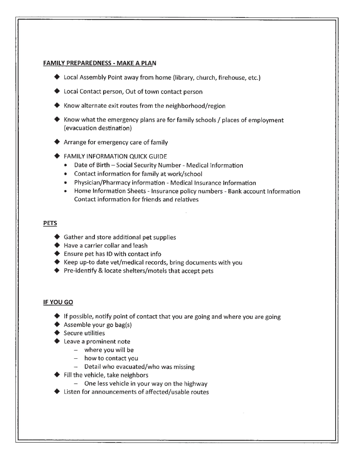## **FAMILY PREPAREDNESS- MAKE A PLAN**

- ◆ Local Assembly Point away from home (library, church, firehouse, etc.)
- ▶ Local Contact person, Out of town contact person
- $\blacktriangleright$  Know alternate exit routes from the neighborhood/region
- $\blacklozenge$  Know what the emergency plans are for family schools / places of employment (evacuation destination)
- Arrange for emergency care of family
- **FAMILY INFORMATION QUICK GUIDE** 
	- Date of Birth- Social Security Number- Medical Information
	- Contact information for family at work/school
	- Physician/Pharmacy information Medical Insurance Information
	- Home Information Sheets- Insurance policy numbers- Bank account Information Contact information for friends and relatives

## **PETS**

- $\blacklozenge$  Gather and store additional pet supplies
- ◆ Have a carrier collar and leash
- $\blacklozenge$  Ensure pet has ID with contact info
- $\blacklozenge$  Keep up-to date vet/medical records, bring documents with you
- $\blacklozenge$  Pre-identify & locate shelters/motels that accept pets

## **IF YOU GO**

- $\blacklozenge$  If possible, notify point of contact that you are going and where you are going
- $\blacklozenge$  Assemble your go bag(s)
- $\blacktriangleright$  Secure utilities
- $\blacktriangleright$  Leave a prominent note
	- where you will be
	- how to contact you
	- Detail who evacuated/who was missing
- Fill the vehicle, take neighbors
	- One less vehicle in your way on the highway
- Listen for announcements of affected/usable routes